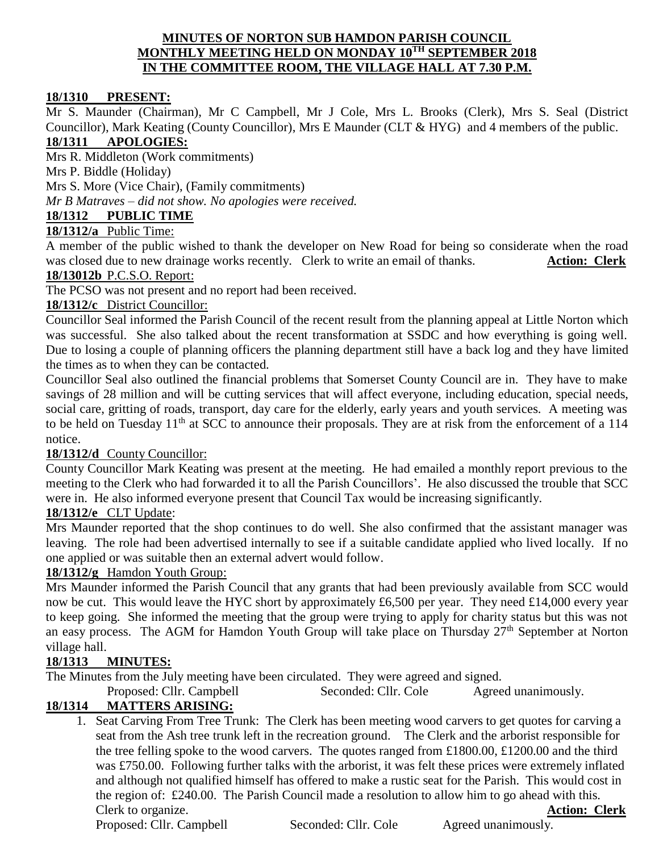#### **MINUTES OF NORTON SUB HAMDON PARISH COUNCIL MONTHLY MEETING HELD ON MONDAY 10TH SEPTEMBER 2018 IN THE COMMITTEE ROOM, THE VILLAGE HALL AT 7.30 P.M.**

#### **18/1310 PRESENT:**

Mr S. Maunder (Chairman), Mr C Campbell, Mr J Cole, Mrs L. Brooks (Clerk), Mrs S. Seal (District Councillor), Mark Keating (County Councillor), Mrs E Maunder (CLT & HYG) and 4 members of the public. **18/1311 APOLOGIES:**

Mrs R. Middleton (Work commitments)

Mrs P. Biddle (Holiday)

Mrs S. More (Vice Chair), (Family commitments)

*Mr B Matraves – did not show. No apologies were received.*

### **18/1312 PUBLIC TIME**

# **18/1312/a** Public Time:

A member of the public wished to thank the developer on New Road for being so considerate when the road was closed due to new drainage works recently. Clerk to write an email of thanks. **Action: Clerk** 

#### **18/13012b** P.C.S.O. Report:

The PCSO was not present and no report had been received.

#### **18/1312/c** District Councillor:

Councillor Seal informed the Parish Council of the recent result from the planning appeal at Little Norton which was successful. She also talked about the recent transformation at SSDC and how everything is going well. Due to losing a couple of planning officers the planning department still have a back log and they have limited the times as to when they can be contacted.

Councillor Seal also outlined the financial problems that Somerset County Council are in. They have to make savings of 28 million and will be cutting services that will affect everyone, including education, special needs, social care, gritting of roads, transport, day care for the elderly, early years and youth services. A meeting was to be held on Tuesday 11<sup>th</sup> at SCC to announce their proposals. They are at risk from the enforcement of a 114 notice.

#### **18/1312/d** County Councillor:

County Councillor Mark Keating was present at the meeting. He had emailed a monthly report previous to the meeting to the Clerk who had forwarded it to all the Parish Councillors'. He also discussed the trouble that SCC were in. He also informed everyone present that Council Tax would be increasing significantly.

#### **18/1312/e** CLT Update:

Mrs Maunder reported that the shop continues to do well. She also confirmed that the assistant manager was leaving. The role had been advertised internally to see if a suitable candidate applied who lived locally. If no one applied or was suitable then an external advert would follow.

### **18/1312/g** Hamdon Youth Group:

Mrs Maunder informed the Parish Council that any grants that had been previously available from SCC would now be cut. This would leave the HYC short by approximately £6,500 per year. They need £14,000 every year to keep going. She informed the meeting that the group were trying to apply for charity status but this was not an easy process. The AGM for Hamdon Youth Group will take place on Thursday 27<sup>th</sup> September at Norton village hall.

### **18/1313 MINUTES:**

The Minutes from the July meeting have been circulated. They were agreed and signed.

Proposed: Cllr. Campbell Seconded: Cllr. Cole Agreed unanimously.

### **18/1314 MATTERS ARISING:**

1. Seat Carving From Tree Trunk: The Clerk has been meeting wood carvers to get quotes for carving a seat from the Ash tree trunk left in the recreation ground. The Clerk and the arborist responsible for the tree felling spoke to the wood carvers. The quotes ranged from £1800.00, £1200.00 and the third was £750.00. Following further talks with the arborist, it was felt these prices were extremely inflated and although not qualified himself has offered to make a rustic seat for the Parish. This would cost in the region of: £240.00. The Parish Council made a resolution to allow him to go ahead with this. Clerk to organize. **Action: Clerk**

Proposed: Cllr. Campbell Seconded: Cllr. Cole Agreed unanimously.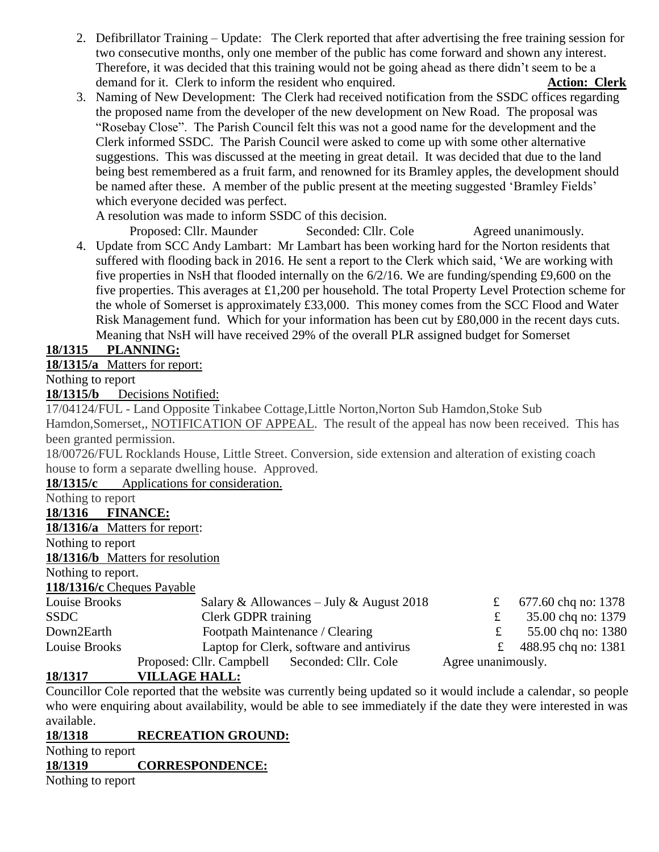- 2. Defibrillator Training Update: The Clerk reported that after advertising the free training session for two consecutive months, only one member of the public has come forward and shown any interest. Therefore, it was decided that this training would not be going ahead as there didn't seem to be a demand for it. Clerk to inform the resident who enquired. **Action: Clerk**
- 3. Naming of New Development: The Clerk had received notification from the SSDC offices regarding the proposed name from the developer of the new development on New Road. The proposal was "Rosebay Close". The Parish Council felt this was not a good name for the development and the Clerk informed SSDC. The Parish Council were asked to come up with some other alternative suggestions. This was discussed at the meeting in great detail. It was decided that due to the land being best remembered as a fruit farm, and renowned for its Bramley apples, the development should be named after these. A member of the public present at the meeting suggested 'Bramley Fields' which everyone decided was perfect.

A resolution was made to inform SSDC of this decision.

Proposed: Cllr. Maunder Seconded: Cllr. Cole Agreed unanimously. 4. Update from SCC Andy Lambart: Mr Lambart has been working hard for the Norton residents that suffered with flooding back in 2016. He sent a report to the Clerk which said, 'We are working with five properties in NsH that flooded internally on the 6/2/16. We are funding/spending £9,600 on the five properties. This averages at £1,200 per household. The total Property Level Protection scheme for the whole of Somerset is approximately £33,000. This money comes from the SCC Flood and Water Risk Management fund. Which for your information has been cut by £80,000 in the recent days cuts. Meaning that NsH will have received 29% of the overall PLR assigned budget for Somerset

# **18/1315 PLANNING:**

**18/1315/a** Matters for report:

Nothing to report

**18/1315/b** Decisions Notified:

17/04124/FUL - Land Opposite Tinkabee Cottage,Little Norton,Norton Sub Hamdon,Stoke Sub

Hamdon, Somerset,, NOTIFICATION OF APPEAL. The result of the appeal has now been received. This has been granted permission.

18/00726/FUL Rocklands House, Little Street. Conversion, side extension and alteration of existing coach house to form a separate dwelling house. Approved.

**18/1315/c** Applications for consideration.

Nothing to report

**18/1316 FINANCE:**

**18/1316/a** Matters for report:

Nothing to report

**18/1316/b** Matters for resolution

Nothing to report.

**118/1316/c** Cheques Payable

| Louise Brooks | Salary & Allowances – July & August 2018      |                    | 677.60 chq no: 1378 |
|---------------|-----------------------------------------------|--------------------|---------------------|
| <b>SSDC</b>   | Clerk GDPR training                           |                    | 35.00 chq no: 1379  |
| Down2Earth    | Footpath Maintenance / Clearing               |                    | 55.00 chq no: 1380  |
| Louise Brooks | Laptop for Clerk, software and antivirus      |                    | 488.95 chq no: 1381 |
|               | Proposed: Cllr. Campbell Seconded: Cllr. Cole | Agree unanimously. |                     |

# **18/1317 VILLAGE HALL:**

Councillor Cole reported that the website was currently being updated so it would include a calendar, so people who were enquiring about availability, would be able to see immediately if the date they were interested in was available.

# **18/1318 RECREATION GROUND:**

Nothing to report

# **18/1319 CORRESPONDENCE:**

Nothing to report